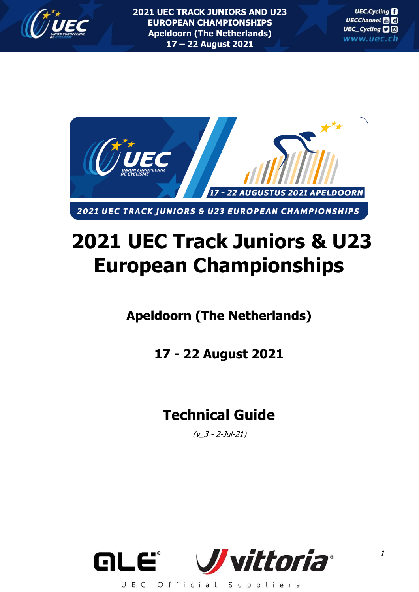



# **2021 UEC Track Juniors & U23 European Championships**

## **Apeldoorn (The Netherlands)**

**17 - 22 August 2021**

## **Technical Guide**

 $(v_3 - 2$ -Jul-21)

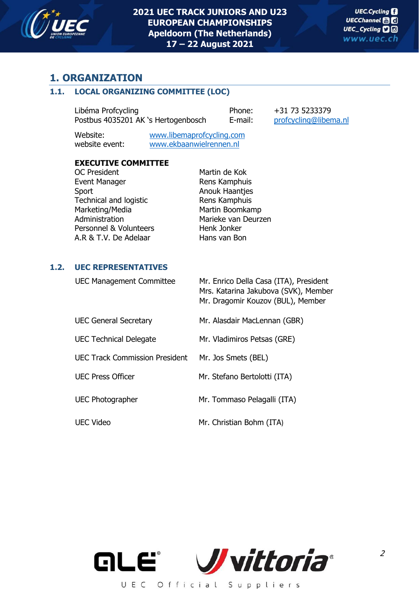

## **1. ORGANIZATION**

## **1.1. LOCAL ORGANIZING COMMITTEE (LOC)**

Libéma Profcycling Phone: +31 73 5233379 Postbus 4035201 AK 's Hertogenbosch E-mail: [profcycling@libema.nl](mailto:profcycling@libema.nl)

Website: [www.libemaprofcycling.com](http://www.libemaprofcycling.com/) website event: [www.ekbaanwielrennen.nl](http://www.ekbaanwielrennen.nl/)

## **EXECUTIVE COMMITTEE**

OC President Martin de Kok Event Manager **Rens Kamphuis** Sport Anouk Haantjes Technical and logistic **Rens Kamphuis** Marketing/Media Martin Boomkamp Administration Marieke van Deurzen Personnel & Volunteers Henk Jonker A.R & T.V. De Adelaar Hans van Bon

## **1.2. UEC REPRESENTATIVES**

| <b>UEC Management Committee</b>       | Mr. Enrico Della Casa (ITA), President<br>Mrs. Katarina Jakubova (SVK), Member<br>Mr. Dragomir Kouzov (BUL), Member |
|---------------------------------------|---------------------------------------------------------------------------------------------------------------------|
| <b>UEC General Secretary</b>          | Mr. Alasdair MacLennan (GBR)                                                                                        |
| <b>UEC Technical Delegate</b>         | Mr. Vladimiros Petsas (GRE)                                                                                         |
| <b>UEC Track Commission President</b> | Mr. Jos Smets (BEL)                                                                                                 |
| <b>UEC Press Officer</b>              | Mr. Stefano Bertolotti (ITA)                                                                                        |
| <b>UEC Photographer</b>               | Mr. Tommaso Pelagalli (ITA)                                                                                         |
| <b>UEC Video</b>                      | Mr. Christian Bohm (ITA)                                                                                            |



2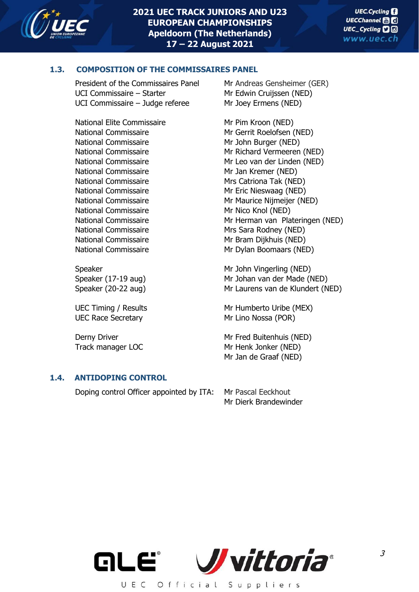

## **1.3. COMPOSITION OF THE COMMISSAIRES PANEL**

President of the Commissaires Panel Mr Andreas Gensheimer (GER) UCI Commissaire – Starter Mr Edwin Cruijssen (NED) UCI Commissaire – Judge referee Mr Joey Ermens (NED)

National Elite Commissaire Mr Pim Kroon (NED) National Commissaire Mr John Burger (NED) National Commissaire Mr Jan Kremer (NED) National Commissaire Mrs Catriona Tak (NED) National Commissaire Mr Eric Nieswaag (NED) National Commissaire Mr Nico Knol (NED) National Commissaire Mrs Sara Rodney (NED) National Commissaire Mr Bram Dijkhuis (NED)

UEC Race Secretary Mr Lino Nossa (POR)

## **1.4. ANTIDOPING CONTROL**

Doping control Officer appointed by ITA: Mr Pascal Eeckhout

National Commissaire Mr Gerrit Roelofsen (NED) National Commissaire Mr Richard Vermeeren (NED) National Commissaire Mr Leo van der Linden (NED) National Commissaire Mr Maurice Nijmeijer (NED) National Commissaire Mr Herman van Plateringen (NED) National Commissaire Mr Dylan Boomaars (NED)

Speaker Mr John Vingerling (NED) Speaker (17-19 aug) Mr Johan van der Made (NED) Speaker (20-22 aug) Mr Laurens van de Klundert (NED)

UEC Timing / Results Mr Humberto Uribe (MEX)

Derny Driver **Mr Fred Buitenhuis (NED)** Track manager LOC Mr Henk Jonker (NED) Mr Jan de Graaf (NED)

Mr Dierk Brandewinder

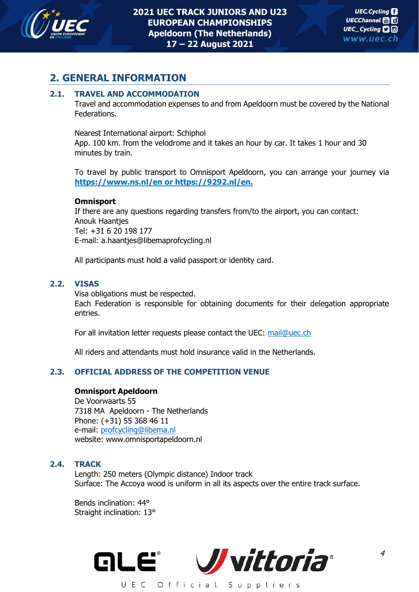

## **2. GENERAL INFORMATION**

## **2.1. TRAVEL AND ACCOMMODATION**

Travel and accommodation expenses to and from Apeldoorn must be covered by the National Federations.

Nearest International airport: Schiphol

App. 100 km. from the velodrome and it takes an hour by car. It takes 1 hour and 30 minutes by train.

To travel by public transport to Omnisport Apeldoorn, you can arrange your journey via **https://www.ns.nl/en or https://9292.nl/en.**

#### **Omnisport**

If there are any questions regarding transfers from/to the airport, you can contact: Anouk Haantjes Tel: +31 6 20 198 177 E-mail: a.haantjes@libemaprofcycling.nl

All participants must hold a valid passport or identity card.

#### **2.2. VISAS**

Visa obligations must be respected.

Each Federation is responsible for obtaining documents for their delegation appropriate entries.

For all invitation letter requests please contact the UEC: [mail@uec.ch](mailto:mail@uec.ch)

All riders and attendants must hold insurance valid in the Netherlands.

## **2.3. OFFICIAL ADDRESS OF THE COMPETITION VENUE**

#### **Omnisport Apeldoorn**

De Voorwaarts 55 7318 MA Apeldoorn - The Netherlands Phone: (+31) 55 368 46 11 e-mail: [profcycling@libema.nl](mailto:profcycling@libema.nl) website: www.omnisportapeldoorn.nl

#### **2.4. TRACK**

Length: 250 meters (Olympic distance) Indoor track Surface: The Accoya wood is uniform in all its aspects over the entire track surface.

Bends inclination: 44° Straight inclination: 13°

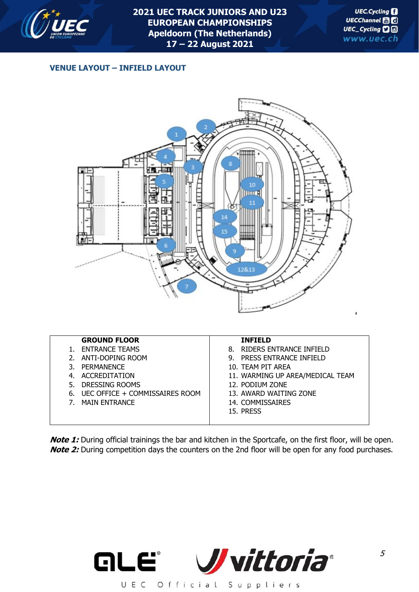

## **VENUE LAYOUT – INFIELD LAYOUT**



| <b>GROUND FLOOR</b> |
|---------------------|
|                     |

- 1. ENTRANCE TEAMS 2. ANTI-DOPING ROOM
- 
- 3. PERMANENCE
- 4. ACCREDITATION 5. DRESSING ROOMS
- 6. UEC OFFICE + COMMISSAIRES ROOM
- 
- 7. MAIN ENTRANCE

#### **INFIELD**

- 8. RIDERS ENTRANCE INFIELD
- 9. PRESS ENTRANCE INFIELD
- 10. TEAM PIT AREA
- 11. WARMING UP AREA/MEDICAL TEAM
- 12. PODIUM ZONE
- 13. AWARD WAITING ZONE
- 14. COMMISSAIRES
- 15. PRESS

**Note 1:** During official trainings the bar and kitchen in the Sportcafe, on the first floor, will be open. **Note 2:** During competition days the counters on the 2nd floor will be open for any food purchases.

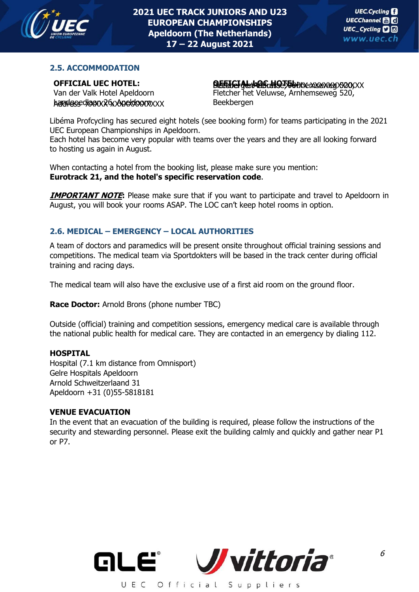

## **2.5. ACCOMMODATION**

## **OFFICIAL UEC HOTEL:**

Van der Valk Hotel Apeldoorn  $k$ andgoed $k$ aan $x$ 26 $x$ Apeldoorn $x$  $x$ x

#### **OFFICIAL LOC HOTEL** Fletcher het Veluwse, Arnhemseweg 520, BeekbergenAddress XXXXX XXXXXXXXXXXX **:**

Fletcher het Veluwse, Arnhemseweg 520, Beekbergen

Libéma Profcycling has secured eight hotels (see booking form) for teams participating in the 2021 UEC European Championships in Apeldoorn.

Each hotel has become very popular with teams over the years and they are all looking forward to hosting us again in August.

When contacting a hotel from the booking list, please make sure you mention: **Eurotrack 21, and the hotel's specific reservation code**.

**IMPORTANT NOTE:** Please make sure that if you want to participate and travel to Apeldoorn in August, you will book your rooms ASAP. The LOC can't keep hotel rooms in option.

## **2.6. MEDICAL – EMERGENCY – LOCAL AUTHORITIES**

A team of doctors and paramedics will be present onsite throughout official training sessions and competitions. The medical team via Sportdokters will be based in the track center during official training and racing days.

The medical team will also have the exclusive use of a first aid room on the ground floor.

**Race Doctor:** Arnold Brons (phone number TBC)

Outside (official) training and competition sessions, emergency medical care is available through the national public health for medical care. They are contacted in an emergency by dialing 112.

#### **HOSPITAL**

Hospital (7.1 km distance from Omnisport) Gelre Hospitals Apeldoorn Arnold Schweitzerlaand 31 Apeldoorn +31 (0)55-5818181

#### **VENUE EVACUATION**

In the event that an evacuation of the building is required, please follow the instructions of the security and stewarding personnel. Please exit the building calmly and quickly and gather near P1 or P7.

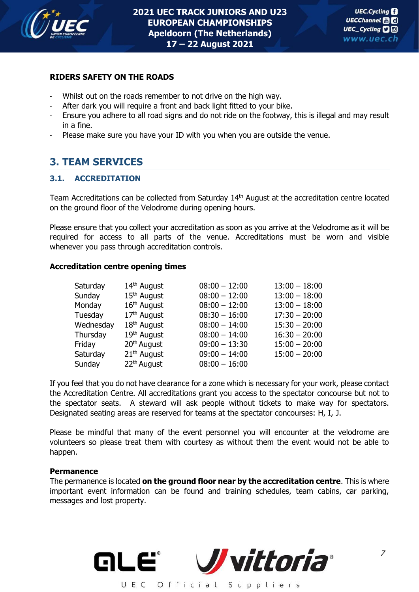

#### **RIDERS SAFETY ON THE ROADS**

- Whilst out on the roads remember to not drive on the high way.
- After dark you will require a front and back light fitted to your bike.
- Ensure you adhere to all road signs and do not ride on the footway, this is illegal and may result in a fine.
- Please make sure you have your ID with you when you are outside the venue.

## **3. TEAM SERVICES**

## **3.1. ACCREDITATION**

Team Accreditations can be collected from Saturday 14<sup>th</sup> August at the accreditation centre located on the ground floor of the Velodrome during opening hours.

Please ensure that you collect your accreditation as soon as you arrive at the Velodrome as it will be required for access to all parts of the venue. Accreditations must be worn and visible whenever you pass through accreditation controls.

#### **Accreditation centre opening times**

| Saturday  | 14 <sup>th</sup> August | $08:00 - 12:00$ | $13:00 - 18:00$ |
|-----------|-------------------------|-----------------|-----------------|
| Sunday    | 15 <sup>th</sup> August | $08:00 - 12:00$ | $13:00 - 18:00$ |
| Monday    | 16th August             | $08:00 - 12:00$ | $13:00 - 18:00$ |
| Tuesday   | $17th$ August           | $08:30 - 16:00$ | $17:30 - 20:00$ |
| Wednesday | 18 <sup>th</sup> August | $08:00 - 14:00$ | $15:30 - 20:00$ |
| Thursday  | 19 <sup>th</sup> August | $08:00 - 14:00$ | $16:30 - 20:00$ |
| Friday    | 20 <sup>th</sup> August | $09:00 - 13:30$ | $15:00 - 20:00$ |
| Saturday  | 21 <sup>th</sup> August | $09:00 - 14:00$ | $15:00 - 20:00$ |
| Sunday    | 22 <sup>th</sup> August | $08:00 - 16:00$ |                 |

If you feel that you do not have clearance for a zone which is necessary for your work, please contact the Accreditation Centre. All accreditations grant you access to the spectator concourse but not to the spectator seats. A steward will ask people without tickets to make way for spectators. Designated seating areas are reserved for teams at the spectator concourses: H, I, J.

Please be mindful that many of the event personnel you will encounter at the velodrome are volunteers so please treat them with courtesy as without them the event would not be able to happen.

#### **Permanence**

The permanence is located **on the ground floor near by the accreditation centre**. This is where important event information can be found and training schedules, team cabins, car parking, messages and lost property.

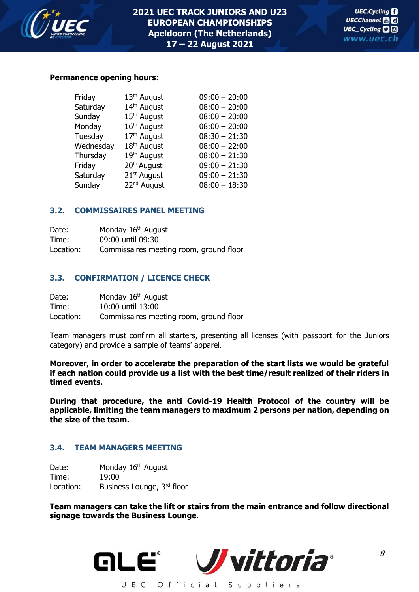

#### **Permanence opening hours:**

| Friday    | 13 <sup>th</sup> August | $09:00 - 20:00$ |
|-----------|-------------------------|-----------------|
| Saturday  | 14th August             | $08:00 - 20:00$ |
| Sunday    | 15 <sup>th</sup> August | $08:00 - 20:00$ |
| Monday    | 16 <sup>th</sup> August | $08:00 - 20:00$ |
| Tuesday   | 17 <sup>th</sup> August | $08:30 - 21:30$ |
| Wednesday | 18 <sup>th</sup> August | $08:00 - 22:00$ |
| Thursday  | 19th August             | $08:00 - 21:30$ |
| Friday    | 20 <sup>th</sup> August | $09:00 - 21:30$ |
| Saturday  | 21 <sup>st</sup> August | $09:00 - 21:30$ |
| Sunday    | 22 <sup>nd</sup> August | $08:00 - 18:30$ |

#### **3.2. COMMISSAIRES PANEL MEETING**

| Date:     | Monday 16 <sup>th</sup> August          |
|-----------|-----------------------------------------|
| Time:     | 09:00 until 09:30                       |
| Location: | Commissaires meeting room, ground floor |

#### **3.3. CONFIRMATION / LICENCE CHECK**

| Date:     | Monday 16 <sup>th</sup> August          |
|-----------|-----------------------------------------|
| Time:     | 10:00 until 13:00                       |
| Location: | Commissaires meeting room, ground floor |

Team managers must confirm all starters, presenting all licenses (with passport for the Juniors category) and provide a sample of teams' apparel.

**Moreover, in order to accelerate the preparation of the start lists we would be grateful if each nation could provide us a list with the best time/result realized of their riders in timed events.** 

**During that procedure, the anti Covid-19 Health Protocol of the country will be applicable, limiting the team managers to maximum 2 persons per nation, depending on the size of the team.**

#### **3.4. TEAM MANAGERS MEETING**

Date: Monday 16<sup>th</sup> August Time: 19:00 Location: Business Lounge, 3rd floor

**Team managers can take the lift or stairs from the main entrance and follow directional signage towards the Business Lounge.**

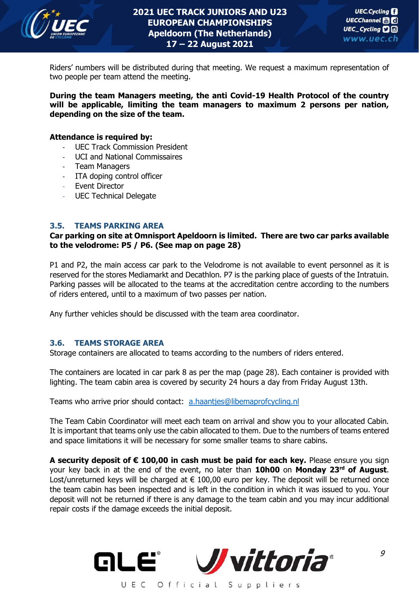

Riders' numbers will be distributed during that meeting. We request a maximum representation of two people per team attend the meeting.

**During the team Managers meeting, the anti Covid-19 Health Protocol of the country will be applicable, limiting the team managers to maximum 2 persons per nation, depending on the size of the team.**

#### **Attendance is required by:**

- UEC Track Commission President
- UCI and National Commissaires
- Team Managers
- ITA doping control officer
- Event Director
- UEC Technical Delegate

#### **3.5. TEAMS PARKING AREA**

#### **Car parking on site at Omnisport Apeldoorn is limited. There are two car parks available to the velodrome: P5 / P6. (See map on page 28)**

P1 and P2, the main access car park to the Velodrome is not available to event personnel as it is reserved for the stores Mediamarkt and Decathlon. P7 is the parking place of guests of the Intratuin. Parking passes will be allocated to the teams at the accreditation centre according to the numbers of riders entered, until to a maximum of two passes per nation.

Any further vehicles should be discussed with the team area coordinator.

#### **3.6. TEAMS STORAGE AREA**

Storage containers are allocated to teams according to the numbers of riders entered.

The containers are located in car park 8 as per the map (page 28). Each container is provided with lighting. The team cabin area is covered by security 24 hours a day from Friday August 13th.

Teams who arrive prior should contact: [a.haantjes@libemaprofcycling.nl](mailto:a.haantjes@libemaprofcycling.nl)

The Team Cabin Coordinator will meet each team on arrival and show you to your allocated Cabin. It is important that teams only use the cabin allocated to them. Due to the numbers of teams entered and space limitations it will be necessary for some smaller teams to share cabins.

**A security deposit of € 100,00 in cash must be paid for each key.** Please ensure you sign your key back in at the end of the event, no later than **10h00** on **Monday 23 rd of August**. Lost/unreturned keys will be charged at  $\epsilon$  100,00 euro per key. The deposit will be returned once the team cabin has been inspected and is left in the condition in which it was issued to you. Your deposit will not be returned if there is any damage to the team cabin and you may incur additional repair costs if the damage exceeds the initial deposit.

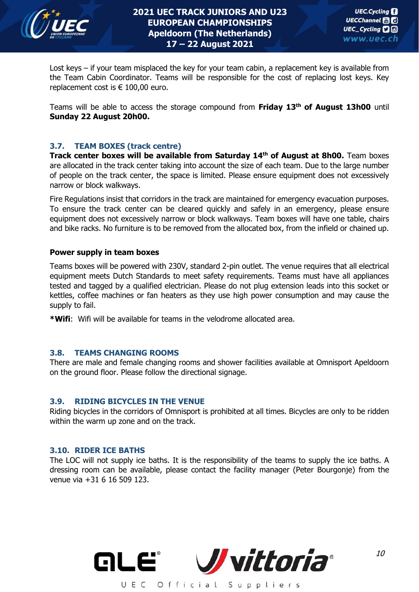

Lost keys – if your team misplaced the key for your team cabin, a replacement key is available from the Team Cabin Coordinator. Teams will be responsible for the cost of replacing lost keys. Key replacement cost is  $\epsilon$  100,00 euro.

Teams will be able to access the storage compound from **Friday 13th of August 13h00** until **Sunday 22 August 20h00.**

#### **3.7. TEAM BOXES (track centre)**

**Track center boxes will be available from Saturday 14th of August at 8h00.** Team boxes are allocated in the track center taking into account the size of each team. Due to the large number of people on the track center, the space is limited. Please ensure equipment does not excessively narrow or block walkways.

Fire Regulations insist that corridors in the track are maintained for emergency evacuation purposes. To ensure the track center can be cleared quickly and safely in an emergency, please ensure equipment does not excessively narrow or block walkways. Team boxes will have one table, chairs and bike racks. No furniture is to be removed from the allocated box, from the infield or chained up.

#### **Power supply in team boxes**

Teams boxes will be powered with 230V, standard 2-pin outlet. The venue requires that all electrical equipment meets Dutch Standards to meet safety requirements. Teams must have all appliances tested and tagged by a qualified electrician. Please do not plug extension leads into this socket or kettles, coffee machines or fan heaters as they use high power consumption and may cause the supply to fail.

**\*Wifi**: Wifi will be available for teams in the velodrome allocated area.

#### **3.8. TEAMS CHANGING ROOMS**

There are male and female changing rooms and shower facilities available at Omnisport Apeldoorn on the ground floor. Please follow the directional signage.

#### **3.9. RIDING BICYCLES IN THE VENUE**

Riding bicycles in the corridors of Omnisport is prohibited at all times. Bicycles are only to be ridden within the warm up zone and on the track.

#### **3.10. RIDER ICE BATHS**

The LOC will not supply ice baths. It is the responsibility of the teams to supply the ice baths. A dressing room can be available, please contact the facility manager (Peter Bourgonje) from the venue via +31 6 16 509 123.

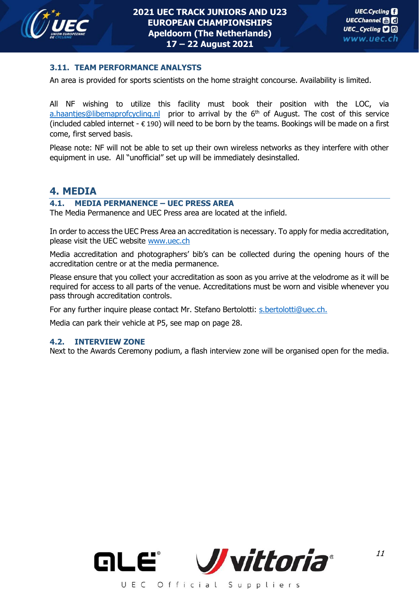

#### **3.11. TEAM PERFORMANCE ANALYSTS**

An area is provided for sports scientists on the home straight concourse. Availability is limited.

All NF wishing to utilize this facility must book their position with the LOC, via [a.haantjes@libemaprofcycling.nl](mailto:a.haantjes@libemaprofcycling.nl) prior to arrival by the 6<sup>th</sup> of August. The cost of this service (included cabled internet -  $\epsilon$  190) will need to be born by the teams. Bookings will be made on a first come, first served basis.

Please note: NF will not be able to set up their own wireless networks as they interfere with other equipment in use. All "unofficial" set up will be immediately desinstalled.

## **4. MEDIA**

#### **4.1. MEDIA PERMANENCE – UEC PRESS AREA**

The Media Permanence and UEC Press area are located at the infield.

In order to access the UEC Press Area an accreditation is necessary. To apply for media accreditation, please visit the UEC website [www.uec.ch](http://www.uec.ch/)

Media accreditation and photographers' bib's can be collected during the opening hours of the accreditation centre or at the media permanence.

Please ensure that you collect your accreditation as soon as you arrive at the velodrome as it will be required for access to all parts of the venue. Accreditations must be worn and visible whenever you pass through accreditation controls.

For any further inquire please contact Mr. Stefano Bertolotti: [s.bertolotti@uec.ch.](mailto:s.bertolotti@uec.ch)

Media can park their vehicle at P5, see map on page 28.

#### **4.2. INTERVIEW ZONE**

Next to the Awards Ceremony podium, a flash interview zone will be organised open for the media.

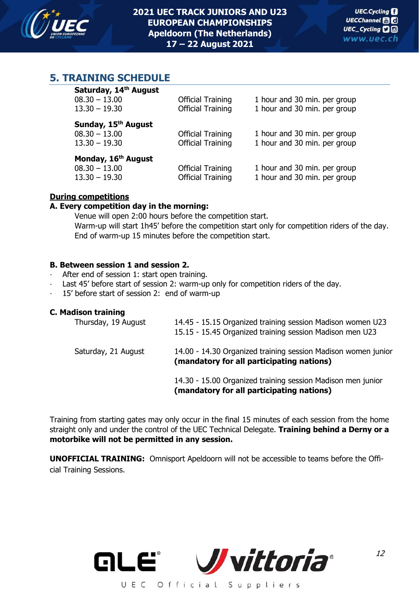

## **5. TRAINING SCHEDULE**

| Saturday, 14th August<br>$08.30 - 13.00$<br>$13.30 - 19.30$           | <b>Official Training</b><br><b>Official Training</b> | 1 hour and 30 min. per group<br>1 hour and 30 min. per group |
|-----------------------------------------------------------------------|------------------------------------------------------|--------------------------------------------------------------|
| Sunday, 15 <sup>th</sup> August<br>$08.30 - 13.00$<br>$13.30 - 19.30$ | <b>Official Training</b><br><b>Official Training</b> | 1 hour and 30 min. per group<br>1 hour and 30 min. per group |
| Monday, 16 <sup>th</sup> August<br>$08.30 - 13.00$<br>$13.30 - 19.30$ | <b>Official Training</b><br><b>Official Training</b> | 1 hour and 30 min. per group<br>1 hour and 30 min. per group |

## **During competitions**

#### **A. Every competition day in the morning:**

Venue will open 2:00 hours before the competition start. Warm-up will start 1h45' before the competition start only for competition riders of the day. End of warm-up 15 minutes before the competition start.

#### **B. Between session 1 and session 2.**

- After end of session 1: start open training.
- Last 45' before start of session 2: warm-up only for competition riders of the day.
- 15' before start of session 2: end of warm-up

#### **C. Madison training**

| Thursday, 19 August | 14.45 - 15.15 Organized training session Madison women U23<br>15.15 - 15.45 Organized training session Madison men U23 |
|---------------------|------------------------------------------------------------------------------------------------------------------------|
| Saturday, 21 August | 14.00 - 14.30 Organized training session Madison women junior<br>(mandatory for all participating nations)             |
|                     | 14.30 - 15.00 Organized training session Madison men junior<br>(mandatory for all participating nations)               |

Training from starting gates may only occur in the final 15 minutes of each session from the home straight only and under the control of the UEC Technical Delegate. **Training behind a Derny or a motorbike will not be permitted in any session.**

**UNOFFICIAL TRAINING:** Omnisport Apeldoorn will not be accessible to teams before the Official Training Sessions.

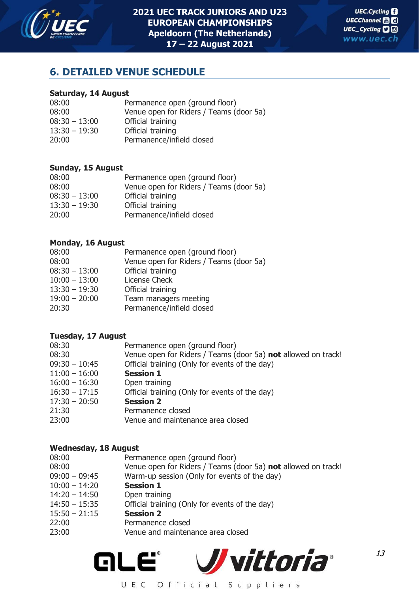

13

## **6. DETAILED VENUE SCHEDULE**

#### **Saturday, 14 August**

| 08:00           | Permanence open (ground floor)          |
|-----------------|-----------------------------------------|
| 08:00           | Venue open for Riders / Teams (door 5a) |
| $08:30 - 13:00$ | Official training                       |
| $13:30 - 19:30$ | Official training                       |
| 20:00           | Permanence/infield closed               |

## **Sunday, 15 August**

| 08:00           | Permanence open (ground floor)          |
|-----------------|-----------------------------------------|
| 08:00           | Venue open for Riders / Teams (door 5a) |
| $08:30 - 13:00$ | Official training                       |
| $13:30 - 19:30$ | Official training                       |
| 20:00           | Permanence/infield closed               |
|                 |                                         |

#### **Monday, 16 August**

| 08:00<br>08:00<br>$08:30 - 13:00$<br>$10:00 - 13:00$<br>$13:30 - 19:30$<br>$19:00 - 20:00$ | Permanence open (ground floor)<br>Venue open for Riders / Teams (door 5a)<br>Official training<br>License Check<br>Official training<br>Team managers meeting |
|--------------------------------------------------------------------------------------------|---------------------------------------------------------------------------------------------------------------------------------------------------------------|
| 20:30                                                                                      | Permanence/infield closed                                                                                                                                     |
|                                                                                            |                                                                                                                                                               |

#### **Tuesday, 17 August**

| Venue open for Riders / Teams (door 5a) not allowed on track! |
|---------------------------------------------------------------|
|                                                               |
|                                                               |
|                                                               |
|                                                               |
|                                                               |
|                                                               |
|                                                               |
|                                                               |

#### **Wednesday, 18 August**

| 08:00           | Permanence open (ground floor)                                |
|-----------------|---------------------------------------------------------------|
| 08:00           | Venue open for Riders / Teams (door 5a) not allowed on track! |
| $09:00 - 09:45$ | Warm-up session (Only for events of the day)                  |
| $10:00 - 14:20$ | <b>Session 1</b>                                              |
| $14:20 - 14:50$ | Open training                                                 |
| $14:50 - 15:35$ | Official training (Only for events of the day)                |
| $15:50 - 21:15$ | <b>Session 2</b>                                              |
| 22:00           | Permanence closed                                             |
| 23:00           | Venue and maintenance area closed                             |
|                 |                                                               |

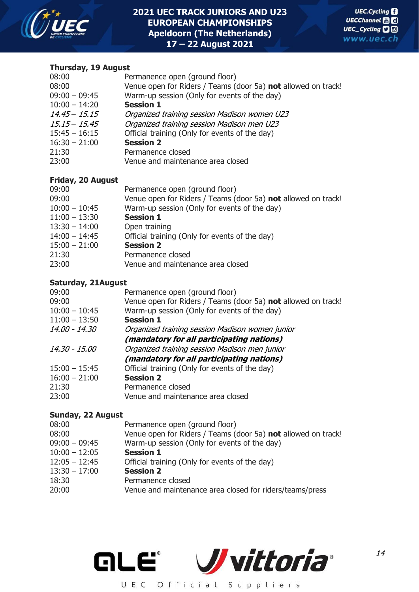

## **Thursday, 19 August**

| 08:00           | Permanence open (ground floor)                                |
|-----------------|---------------------------------------------------------------|
| 08:00           | Venue open for Riders / Teams (door 5a) not allowed on track! |
| $09:00 - 09:45$ | Warm-up session (Only for events of the day)                  |
| $10:00 - 14:20$ | <b>Session 1</b>                                              |
| $14.45 - 15.15$ | Organized training session Madison women U23                  |
| $15.15 - 15.45$ | Organized training session Madison men U23                    |
| $15:45 - 16:15$ | Official training (Only for events of the day)                |
| $16:30 - 21:00$ | <b>Session 2</b>                                              |
| 21:30           | Permanence closed                                             |
| 23:00           | Venue and maintenance area closed                             |
|                 |                                                               |

## **Friday, 20 August**

| Permanence open (ground floor)                                |
|---------------------------------------------------------------|
| Venue open for Riders / Teams (door 5a) not allowed on track! |
| Warm-up session (Only for events of the day)                  |
| <b>Session 1</b>                                              |
| Open training                                                 |
| Official training (Only for events of the day)                |
| <b>Session 2</b>                                              |
| Permanence closed                                             |
| Venue and maintenance area closed                             |
|                                                               |

## **Saturday, 21August**

| 09:00           | Permanence open (ground floor)                                |
|-----------------|---------------------------------------------------------------|
| 09:00           | Venue open for Riders / Teams (door 5a) not allowed on track! |
| $10:00 - 10:45$ | Warm-up session (Only for events of the day)                  |
| $11:00 - 13:50$ | <b>Session 1</b>                                              |
| 14.00 - 14.30   | Organized training session Madison women junior               |
|                 | (mandatory for all participating nations)                     |
| 14.30 - 15.00   | Organized training session Madison men junior                 |
|                 | (mandatory for all participating nations)                     |
| $15:00 - 15:45$ | Official training (Only for events of the day)                |
| $16:00 - 21:00$ | <b>Session 2</b>                                              |
| 21:30           | Permanence closed                                             |
| 23:00           | Venue and maintenance area closed                             |
|                 |                                                               |

## **Sunday, 22 August**

| 08:00           | Permanence open (ground floor)                                |
|-----------------|---------------------------------------------------------------|
| 08:00           | Venue open for Riders / Teams (door 5a) not allowed on track! |
| $09:00 - 09:45$ | Warm-up session (Only for events of the day)                  |
| $10:00 - 12:05$ | <b>Session 1</b>                                              |
| $12:05 - 12:45$ | Official training (Only for events of the day)                |
| $13:30 - 17:00$ | <b>Session 2</b>                                              |
| 18:30           | Permanence closed                                             |
| 20:00           | Venue and maintenance area closed for riders/teams/press      |
|                 |                                                               |

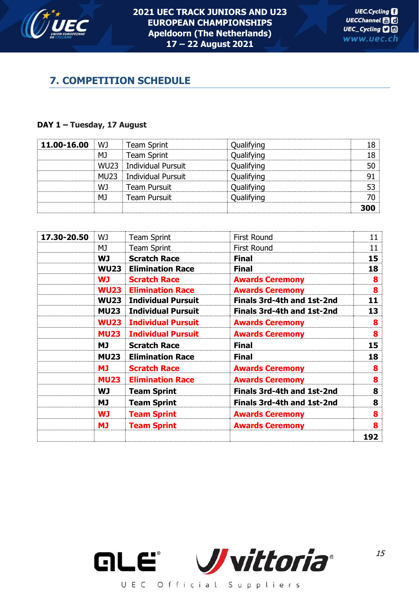

## **7. COMPETITION SCHEDULE**

#### **DAY 1 – Tuesday, 17 August**

| 11.00-16.00 | WJ               | <b>Team Sprint</b>        | Qualifying | 18  |
|-------------|------------------|---------------------------|------------|-----|
|             | МJ               | Team Sprint               | Qualifying | 18  |
|             | <b>WU23</b>      | Individual Pursuit        | Qualifying | 50  |
|             | MU <sub>23</sub> | <b>Individual Pursuit</b> | Qualifying | 91  |
|             | WJ               | <b>Team Pursuit</b>       | Qualifying | 53  |
|             | MJ               | <b>Team Pursuit</b>       | Qualifying | 70  |
|             |                  |                           |            | 300 |

| 17.30-20.50 | WJ          | <b>Team Sprint</b>        | <b>First Round</b>                | 11              |
|-------------|-------------|---------------------------|-----------------------------------|-----------------|
|             | MJ          | <b>Team Sprint</b>        | <b>First Round</b>                | 11              |
|             | <b>WJ</b>   | <b>Scratch Race</b>       | <b>Final</b>                      | 15 <sup>1</sup> |
|             | <b>WU23</b> | <b>Elimination Race</b>   | <b>Final</b>                      | 18              |
|             | <b>WJ</b>   | <b>Scratch Race</b>       | <b>Awards Ceremony</b>            | 8               |
|             | <b>WU23</b> | <b>Elimination Race</b>   | <b>Awards Ceremony</b>            | 8               |
|             | <b>WU23</b> | <b>Individual Pursuit</b> | <b>Finals 3rd-4th and 1st-2nd</b> | 11              |
|             | <b>MU23</b> | <b>Individual Pursuit</b> | <b>Finals 3rd-4th and 1st-2nd</b> | 13              |
|             | <b>WU23</b> | <b>Individual Pursuit</b> | <b>Awards Ceremony</b>            | 8               |
|             | <b>MU23</b> | <b>Individual Pursuit</b> | <b>Awards Ceremony</b>            | 8               |
|             | МJ          | <b>Scratch Race</b>       | <b>Final</b>                      | 15 <sup>1</sup> |
|             | <b>MU23</b> | <b>Elimination Race</b>   | <b>Final</b>                      | 18              |
|             | <b>MJ</b>   | <b>Scratch Race</b>       | <b>Awards Ceremony</b>            | 8               |
|             | <b>MU23</b> | <b>Elimination Race</b>   | <b>Awards Ceremony</b>            | 8               |
|             | WJ          | <b>Team Sprint</b>        | Finals 3rd-4th and 1st-2nd        | 8               |
|             | МJ          | <b>Team Sprint</b>        | <b>Finals 3rd-4th and 1st-2nd</b> | 8               |
|             | <b>WJ</b>   | <b>Team Sprint</b>        | <b>Awards Ceremony</b>            | 8               |
|             | <b>MJ</b>   | <b>Team Sprint</b>        | <b>Awards Ceremony</b>            | 8               |
|             |             |                           |                                   | 192             |

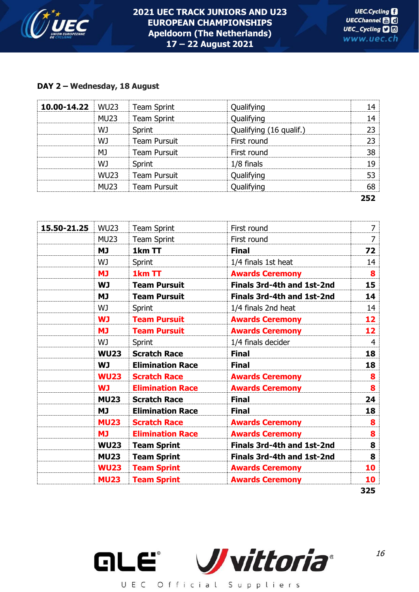

## **DAY 2 – Wednesday, 18 August**

| 10.00-14.22 | <b>WU23</b> | <b>Team Sprint</b>  | Qualifying              | 14  |
|-------------|-------------|---------------------|-------------------------|-----|
|             | <b>MU23</b> | <b>Team Sprint</b>  | Qualifying              | 14  |
|             | WJ          | Sprint              | Qualifying (16 qualif.) | 23  |
|             | WJ          | <b>Team Pursuit</b> | First round             | 23  |
|             | MJ          | <b>Team Pursuit</b> | First round             | 38  |
|             | WJ          | <b>Sprint</b>       | 1/8 finals              | 19  |
|             | <b>WU23</b> | <b>Team Pursuit</b> | Qualifying              | 53  |
|             | <b>MU23</b> | <b>Team Pursuit</b> | Qualifying              | 68  |
|             |             |                     |                         | 252 |

| 15.50-21.25 | <b>WU23</b> | <b>Team Sprint</b>      | First round                | $\overline{7}$ |
|-------------|-------------|-------------------------|----------------------------|----------------|
|             | <b>MU23</b> | <b>Team Sprint</b>      | First round                | $\overline{7}$ |
|             | <b>MJ</b>   | 1km TT                  | <b>Final</b>               | 72             |
|             | WJ.         | Sprint                  | 1/4 finals 1st heat        | 14             |
|             | <b>MJ</b>   | 1km TT                  | <b>Awards Ceremony</b>     | 8              |
|             | <b>WJ</b>   | <b>Team Pursuit</b>     | Finals 3rd-4th and 1st-2nd | 15             |
|             | <b>MJ</b>   | <b>Team Pursuit</b>     | Finals 3rd-4th and 1st-2nd | 14             |
|             | WJ          | Sprint                  | 1/4 finals 2nd heat        | 14             |
|             | <b>WJ</b>   | <b>Team Pursuit</b>     | <b>Awards Ceremony</b>     | 12             |
|             | <b>MJ</b>   | <b>Team Pursuit</b>     | <b>Awards Ceremony</b>     | 12             |
|             | WJ.         | Sprint                  | 1/4 finals decider         | $\overline{4}$ |
|             | <b>WU23</b> | <b>Scratch Race</b>     | <b>Final</b>               | 18             |
|             | <b>WJ</b>   | <b>Elimination Race</b> | <b>Final</b>               | 18             |
|             | <b>WU23</b> | <b>Scratch Race</b>     | <b>Awards Ceremony</b>     | 8              |
|             | <b>WJ</b>   | <b>Elimination Race</b> | <b>Awards Ceremony</b>     | 8              |
|             | <b>MU23</b> | <b>Scratch Race</b>     | <b>Final</b>               | 24             |
|             | <b>MJ</b>   | <b>Elimination Race</b> | <b>Final</b>               | 18             |
|             | <b>MU23</b> | <b>Scratch Race</b>     | <b>Awards Ceremony</b>     | 8              |
|             | <b>MJ</b>   | <b>Elimination Race</b> | <b>Awards Ceremony</b>     | 8              |
|             | <b>WU23</b> | <b>Team Sprint</b>      | Finals 3rd-4th and 1st-2nd | 8              |
|             | <b>MU23</b> | <b>Team Sprint</b>      | Finals 3rd-4th and 1st-2nd | 8              |
|             | <b>WU23</b> | <b>Team Sprint</b>      | <b>Awards Ceremony</b>     | 10             |
|             | <b>MU23</b> | <b>Team Sprint</b>      | <b>Awards Ceremony</b>     | 10             |
|             |             |                         |                            | 325            |



16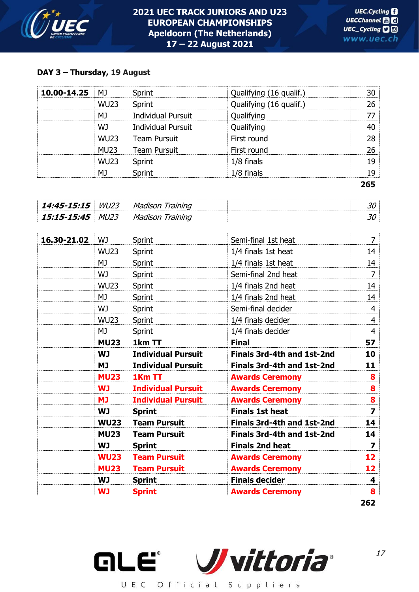

## **DAY 3 – Thursday, 19 August**

| 10.00-14.25 | M1          | Sprint                    | Qualifying (16 qualif.) | 30  |
|-------------|-------------|---------------------------|-------------------------|-----|
|             | <b>WU23</b> | Sprint                    | Qualifying (16 qualif.) | 26  |
|             | МJ          | <b>Individual Pursuit</b> | Qualifying              | 77  |
|             | WJ          | <b>Individual Pursuit</b> | Qualifying              | 40  |
|             | <b>WU23</b> | <b>Team Pursuit</b>       | First round             | 28  |
|             | <b>MU23</b> | <b>Team Pursuit</b>       | First round             | 26  |
|             | <b>WU23</b> | Sprint                    | 1/8 finals              | 19  |
|             | MJ          | Sprint                    | $1/8$ finals            | 19  |
|             |             |                           |                         | 265 |

| 14:45-15:15 | <i>WL123</i> | M |  |
|-------------|--------------|---|--|
| 15:15-15:45 | MI 123       | M |  |

| 16.30-21.02 | WJ          | Sprint                    | Semi-final 1st heat               | $\overline{7}$   |
|-------------|-------------|---------------------------|-----------------------------------|------------------|
|             | <b>WU23</b> | Sprint                    | 1/4 finals 1st heat               | 14               |
|             | MJ          | Sprint                    | 1/4 finals 1st heat               | 14               |
|             | WJ          | Sprint                    | Semi-final 2nd heat               | $\overline{7}$   |
|             | <b>WU23</b> | Sprint                    | 1/4 finals 2nd heat               | 14               |
|             | MJ          | Sprint                    | 1/4 finals 2nd heat               | 14               |
|             | WJ          | Sprint                    | Semi-final decider                | 4                |
|             | <b>WU23</b> | <b>Sprint</b>             | 1/4 finals decider                | 4                |
|             | MJ          | Sprint                    | 1/4 finals decider                | 4                |
|             | <b>MU23</b> | 1km TT                    | <b>Final</b>                      | 57               |
|             | <b>WJ</b>   | <b>Individual Pursuit</b> | <b>Finals 3rd-4th and 1st-2nd</b> | 10               |
|             | <b>MJ</b>   | <b>Individual Pursuit</b> | Finals 3rd-4th and 1st-2nd        | 11               |
|             | <b>MU23</b> | 1Km TT                    | <b>Awards Ceremony</b>            | 8                |
|             | <b>WJ</b>   | <b>Individual Pursuit</b> | <b>Awards Ceremony</b>            | 8                |
|             | <b>MJ</b>   | <b>Individual Pursuit</b> | <b>Awards Ceremony</b>            | 8                |
|             | <b>WJ</b>   | <b>Sprint</b>             | <b>Finals 1st heat</b>            | $\overline{z}$   |
|             | <b>WU23</b> | <b>Team Pursuit</b>       | <b>Finals 3rd-4th and 1st-2nd</b> | 14               |
|             | <b>MU23</b> | <b>Team Pursuit</b>       | Finals 3rd-4th and 1st-2nd        | 14               |
|             | <b>WJ</b>   | <b>Sprint</b>             | <b>Finals 2nd heat</b>            | 7                |
|             | <b>WU23</b> | <b>Team Pursuit</b>       | <b>Awards Ceremony</b>            | 12               |
|             | <b>MU23</b> | <b>Team Pursuit</b>       | <b>Awards Ceremony</b>            | 12               |
|             | <b>WJ</b>   | <b>Sprint</b>             | <b>Finals decider</b>             | 4                |
|             | <b>WJ</b>   | <b>Sprint</b>             | <b>Awards Ceremony</b>            | $\boldsymbol{8}$ |

**<sup>262</sup>**

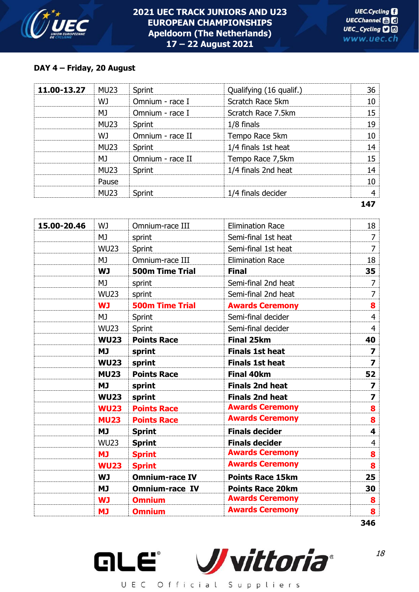

## **DAY 4 – Friday, 20 August**

| 11.00-13.27 | <b>MU23</b>      | Sprint           | Qualifying (16 qualif.) | 36  |
|-------------|------------------|------------------|-------------------------|-----|
|             | WJ               | Omnium - race I  | Scratch Race 5km        | 10  |
|             | MJ               | Omnium - race I  | Scratch Race 7.5km      | 15  |
|             | <b>MU23</b>      | Sprint           | $1/8$ finals            | 19  |
|             | WJ               | Omnium - race II | Tempo Race 5km          | 10  |
|             | <b>MU23</b>      | Sprint           | 1/4 finals 1st heat     | 14  |
|             | MJ               | Omnium - race II | Tempo Race 7,5km        | 15  |
|             | <b>MU23</b>      | Sprint           | 1/4 finals 2nd heat     | 14  |
|             | Pause            |                  |                         | 10  |
|             | MU <sub>23</sub> | Sprint           | 1/4 finals decider      | 4   |
|             |                  |                  |                         | 147 |

| 15.00-20.46 | WJ          | Omnium-race III        | <b>Elimination Race</b> | 18                      |
|-------------|-------------|------------------------|-------------------------|-------------------------|
|             | MJ          | sprint                 | Semi-final 1st heat     | 7                       |
|             | <b>WU23</b> | Sprint                 | Semi-final 1st heat     | 7                       |
|             | MJ          | Omnium-race III        | <b>Elimination Race</b> | 18                      |
|             | <b>WJ</b>   | <b>500m Time Trial</b> | <b>Final</b>            | 35                      |
|             | MJ          | sprint                 | Semi-final 2nd heat     | $\overline{7}$          |
|             | <b>WU23</b> | sprint                 | Semi-final 2nd heat     | $\overline{7}$          |
|             | <b>WJ</b>   | <b>500m Time Trial</b> | <b>Awards Ceremony</b>  | 8                       |
|             | MJ          | Sprint                 | Semi-final decider      | $\overline{4}$          |
|             | <b>WU23</b> | Sprint                 | Semi-final decider      | $\overline{4}$          |
|             | <b>WU23</b> | <b>Points Race</b>     | <b>Final 25km</b>       | 40                      |
|             | <b>MJ</b>   | sprint                 | <b>Finals 1st heat</b>  | $\overline{\mathbf{z}}$ |
|             | <b>WU23</b> | sprint                 | <b>Finals 1st heat</b>  | $\overline{\mathbf{z}}$ |
|             | <b>MU23</b> | <b>Points Race</b>     | <b>Final 40km</b>       | 52                      |
|             | <b>MJ</b>   | sprint                 | <b>Finals 2nd heat</b>  | $\overline{\mathbf{z}}$ |
|             | <b>WU23</b> | sprint                 | <b>Finals 2nd heat</b>  | $\overline{\mathbf{z}}$ |
|             | <b>WU23</b> | <b>Points Race</b>     | <b>Awards Ceremony</b>  | 8                       |
|             | <b>MU23</b> | <b>Points Race</b>     | <b>Awards Ceremony</b>  | 8                       |
|             | <b>MJ</b>   | <b>Sprint</b>          | <b>Finals decider</b>   | 4                       |
|             | <b>WU23</b> | <b>Sprint</b>          | <b>Finals decider</b>   | $\overline{4}$          |
|             | <b>MJ</b>   | <b>Sprint</b>          | <b>Awards Ceremony</b>  | 8                       |
|             | <b>WU23</b> | <b>Sprint</b>          | <b>Awards Ceremony</b>  | 8                       |
|             | <b>WJ</b>   | <b>Omnium-race IV</b>  | <b>Points Race 15km</b> | 25                      |
|             | <b>MJ</b>   | <b>Omnium-race IV</b>  | <b>Points Race 20km</b> | 30                      |
|             | <b>WJ</b>   | <b>Omnium</b>          | <b>Awards Ceremony</b>  | 8                       |
|             | <b>MJ</b>   | <b>Omnium</b>          | <b>Awards Ceremony</b>  | 8                       |
|             |             |                        |                         | 346                     |

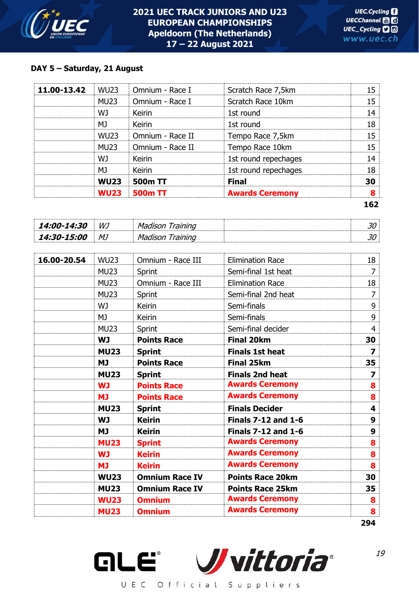

## **DAY 5 – Saturday, 21 August**

|             | <b>WU23</b> | <b>500m TT</b>   | <b>Awards Ceremony</b> | 8  |
|-------------|-------------|------------------|------------------------|----|
|             | <b>WU23</b> | 500m TT          | <b>Final</b>           | 30 |
|             | MJ          | Keirin           | 1st round repechages   | 18 |
|             | WJ          | Keirin           | 1st round repechages   | 14 |
|             | <b>MU23</b> | Omnium - Race II | Tempo Race 10km        | 15 |
|             | <b>WU23</b> | Omnium - Race II | Tempo Race 7,5km       | 15 |
|             | MJ          | <b>Keirin</b>    | 1st round              | 18 |
|             | WJ.         | <b>Keirin</b>    | 1st round              | 14 |
|             | <b>MU23</b> | Omnium - Race I  | Scratch Race 10km      | 15 |
| 11.00-13.42 | <b>WU23</b> | Omnium - Race I  | Scratch Race 7,5km     | 15 |

| <i><b>14:00-14:30</b></i> | WJ | м- | یں |
|---------------------------|----|----|----|
| <i><b>14:30-15:00</b></i> | MJ | M  | ◡  |

| 16.00-20.54 | <b>WU23</b> | Omnium - Race III     | <b>Elimination Race</b>    | 18             |
|-------------|-------------|-----------------------|----------------------------|----------------|
|             | <b>MU23</b> | Sprint                | Semi-final 1st heat        | $\overline{7}$ |
|             | <b>MU23</b> | Omnium - Race III     | <b>Elimination Race</b>    | 18             |
|             | <b>MU23</b> | Sprint                | Semi-final 2nd heat        | $\overline{7}$ |
|             | WJ          | <b>Keirin</b>         | Semi-finals                | 9              |
|             | MJ          | Keirin                | Semi-finals                | 9              |
|             | <b>MU23</b> | Sprint                | Semi-final decider         | $\overline{4}$ |
|             | <b>WJ</b>   | <b>Points Race</b>    | <b>Final 20km</b>          | 30             |
|             | <b>MU23</b> | <b>Sprint</b>         | <b>Finals 1st heat</b>     | 7              |
|             | <b>MJ</b>   | <b>Points Race</b>    | <b>Final 25km</b>          | 35             |
|             | <b>MU23</b> | <b>Sprint</b>         | <b>Finals 2nd heat</b>     | 7              |
|             | <b>WJ</b>   | <b>Points Race</b>    | <b>Awards Ceremony</b>     | 8              |
|             | <b>MJ</b>   | <b>Points Race</b>    | <b>Awards Ceremony</b>     | 8              |
|             | <b>MU23</b> | <b>Sprint</b>         | <b>Finals Decider</b>      | 4              |
|             | <b>WJ</b>   | <b>Keirin</b>         | <b>Finals 7-12 and 1-6</b> | 9              |
|             | <b>MJ</b>   | <b>Keirin</b>         | <b>Finals 7-12 and 1-6</b> | 9              |
|             | <b>MU23</b> | <b>Sprint</b>         | <b>Awards Ceremony</b>     | 8              |
|             | <b>WJ</b>   | <b>Keirin</b>         | <b>Awards Ceremony</b>     | 8              |
|             | <b>MJ</b>   | <b>Keirin</b>         | <b>Awards Ceremony</b>     | 8              |
|             | <b>WU23</b> | <b>Omnium Race IV</b> | <b>Points Race 20km</b>    | 30             |
|             | <b>MU23</b> | <b>Omnium Race IV</b> | <b>Points Race 25km</b>    | 35             |
|             | <b>WU23</b> | <b>Omnium</b>         | <b>Awards Ceremony</b>     | 8              |
|             | <b>MU23</b> | <b>Omnium</b>         | <b>Awards Ceremony</b>     | 8              |
|             |             |                       |                            | 294            |

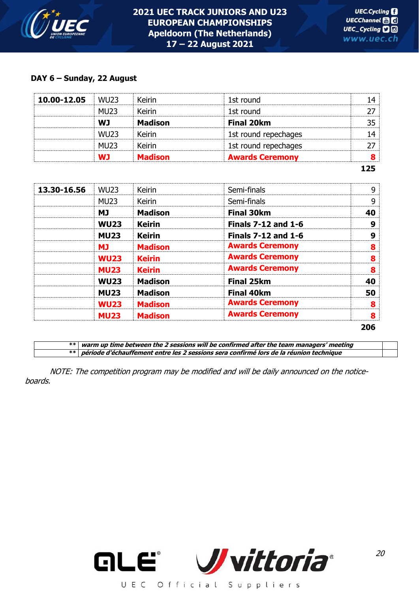

#### **DAY 6 – Sunday, 22 August**

|             |             |                |                        | 125 |
|-------------|-------------|----------------|------------------------|-----|
|             | <b>WJ</b>   | <b>Madison</b> | <b>Awards Ceremony</b> | 8   |
|             | <b>MU23</b> | Keirin         | 1st round repechages   |     |
|             | <b>WU23</b> | Keirin         | 1st round repechages   | 14  |
|             | <b>WJ</b>   | <b>Madison</b> | <b>Final 20km</b>      | 35  |
|             | <b>MU23</b> | Keirin         | 1st round              | 27  |
| 10.00-12.05 | <b>WU23</b> | Keirin         | 1st round              | 14  |

| 13.30-16.56 | <b>WU23</b> | <b>Keirin</b>  | Semi-finals                | 9   |
|-------------|-------------|----------------|----------------------------|-----|
|             | <b>MU23</b> | <b>Keirin</b>  | Semi-finals                | 9   |
|             | <b>MJ</b>   | <b>Madison</b> | <b>Final 30km</b>          | 40  |
|             | <b>WU23</b> | <b>Keirin</b>  | <b>Finals 7-12 and 1-6</b> | 9   |
|             | <b>MU23</b> | <b>Keirin</b>  | <b>Finals 7-12 and 1-6</b> | 9   |
|             | <b>MJ</b>   | <b>Madison</b> | <b>Awards Ceremony</b>     | 8   |
|             | <b>WU23</b> | <b>Keirin</b>  | <b>Awards Ceremony</b>     | 8   |
|             | <b>MU23</b> | <b>Keirin</b>  | <b>Awards Ceremony</b>     | 8   |
|             | <b>WU23</b> | <b>Madison</b> | <b>Final 25km</b>          | 40  |
|             | <b>MU23</b> | <b>Madison</b> | <b>Final 40km</b>          | 50  |
|             | <b>WU23</b> | <b>Madison</b> | <b>Awards Ceremony</b>     | 8   |
|             | <b>MU23</b> | <b>Madison</b> | <b>Awards Ceremony</b>     | 8   |
|             |             |                |                            | 206 |

**\*\* warm up time between the 2 sessions will be confirmed after the team managers' meeting \*\* période d'échauffement entre les 2 sessions sera confirmé lors de la réunion technique**

NOTE: The competition program may be modified and will be daily announced on the noticeboards.

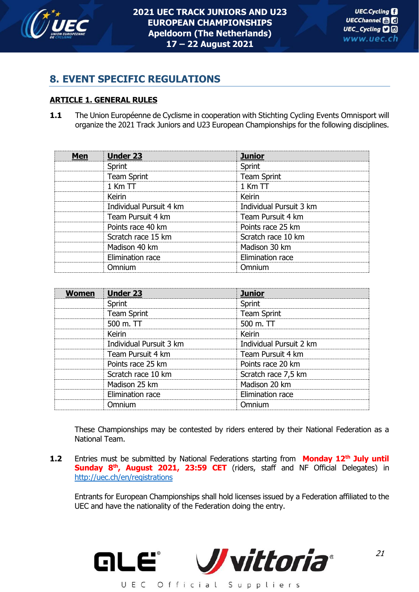

## **8. EVENT SPECIFIC REGULATIONS**

## **ARTICLE 1. GENERAL RULES**

1.1 The Union Européenne de Cyclisme in cooperation with Stichting Cycling Events Omnisport will organize the 2021 Track Juniors and U23 European Championships for the following disciplines.

| Men | <b>Under 23</b>         | <b>Junior</b>           |  |
|-----|-------------------------|-------------------------|--|
|     | Sprint                  | Sprint                  |  |
|     | <b>Team Sprint</b>      | <b>Team Sprint</b>      |  |
|     | $1$ Km $TT$             | $1$ Km $TT$             |  |
|     | Keirin                  | Keirin                  |  |
|     | Individual Pursuit 4 km | Individual Pursuit 3 km |  |
|     | Team Pursuit 4 km       | Team Pursuit 4 km       |  |
|     | Points race 40 km       | Points race 25 km       |  |
|     | Scratch race 15 km      | Scratch race 10 km      |  |
|     | Madison 40 km           | Madison 30 km           |  |
|     | Elimination race        | Elimination race        |  |
|     | Omnium                  | Omnium                  |  |

| <b>Women</b> | <b>Under 23</b>         | <b>Junior</b>           |
|--------------|-------------------------|-------------------------|
|              | Sprint                  | Sprint                  |
|              | <b>Team Sprint</b>      | <b>Team Sprint</b>      |
|              | 500 $m$ . TT            | 500 m. $TT$             |
|              | Keirin                  | Keirin                  |
|              | Individual Pursuit 3 km | Individual Pursuit 2 km |
|              | Team Pursuit 4 km       | Team Pursuit 4 km       |
|              | Points race 25 km       | Points race 20 km       |
|              | Scratch race 10 km      | Scratch race 7,5 km     |
|              | Madison 25 km           | Madison 20 km           |
|              | Elimination race        | Elimination race        |
|              | Omnium                  | Omnium                  |

These Championships may be contested by riders entered by their National Federation as a National Team.

**1.2** Entries must be submitted by National Federations starting from **Monday 12th July until Sunday 8<sup>th</sup>, August 2021, 23:59 CET** (riders, staff and NF Official Delegates) in <http://uec.ch/en/registrations>

Entrants for European Championships shall hold licenses issued by a Federation affiliated to the UEC and have the nationality of the Federation doing the entry.

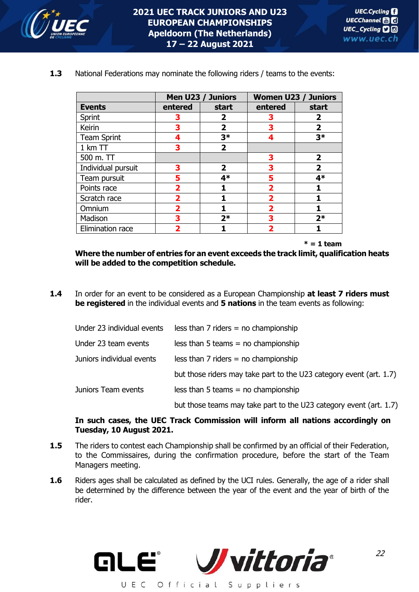

|                    |                         | Men U23 / Juniors |         | <b>Women U23 / Juniors</b> |
|--------------------|-------------------------|-------------------|---------|----------------------------|
| <b>Events</b>      | entered                 | start             | entered | start                      |
| Sprint             | З                       | 2                 |         | 2                          |
| Keirin             | 3                       | 2                 | 3       | $\overline{2}$             |
| <b>Team Sprint</b> | 4                       | $3*$              | 4       | $3*$                       |
| $1$ km $TT$        | 3                       | $\mathbf{2}$      |         |                            |
| 500 m. TT          |                         |                   | 3       | $\overline{2}$             |
| Individual pursuit | 3                       | $\mathbf{2}$      | 3       | $\overline{2}$             |
| Team pursuit       | 5                       | $4*$              | 5       | $4*$                       |
| Points race        | $\overline{\mathbf{2}}$ |                   | 2       | 1                          |
| Scratch race       | 2                       |                   | 2       |                            |
| Omnium             | 2                       |                   | 2       |                            |
| Madison            | 3                       | $2*$              | 3       | $2*$                       |
| Elimination race   | 7                       |                   | 2       |                            |

**1.3** National Federations may nominate the following riders / teams to the events:

 **\* = 1 team** 

**Where the number of entries for an event exceeds the track limit, qualification heats will be added to the competition schedule.**

**1.4** In order for an event to be considered as a European Championship **at least 7 riders must be registered** in the individual events and **5 nations** in the team events as following:

| Under 23 individual events | less than $7$ riders = no championship                              |
|----------------------------|---------------------------------------------------------------------|
| Under 23 team events       | $less than 5 teams = no championship$                               |
| Juniors individual events  | $less than 7$ riders = no championship                              |
|                            | but those riders may take part to the U23 category event (art. 1.7) |
| Juniors Team events        | $less than 5 teams = no championship$                               |
|                            | but those teams may take part to the U23 category event (art. 1.7)  |

## **In such cases, the UEC Track Commission will inform all nations accordingly on Tuesday, 10 August 2021.**

- **1.5** The riders to contest each Championship shall be confirmed by an official of their Federation, to the Commissaires, during the confirmation procedure, before the start of the Team Managers meeting.
- **1.6** Riders ages shall be calculated as defined by the UCI rules. Generally, the age of a rider shall be determined by the difference between the year of the event and the year of birth of the rider.

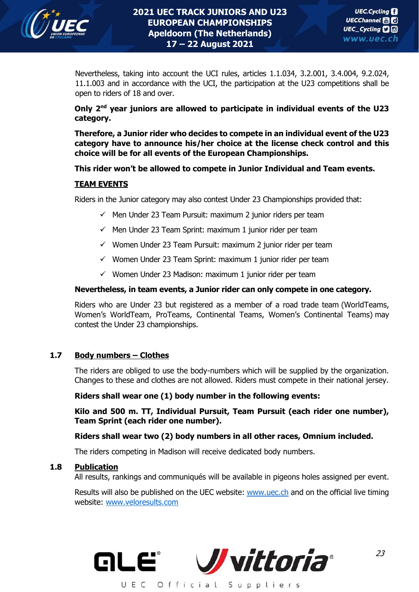

Nevertheless, taking into account the UCI rules, articles 1.1.034, 3.2.001, 3.4.004, 9.2.024, 11.1.003 and in accordance with the UCI, the participation at the U23 competitions shall be open to riders of 18 and over.

## **Only 2nd year juniors are allowed to participate in individual events of the U23 category.**

**Therefore, a Junior rider who decides to compete in an individual event of the U23 category have to announce his/her choice at the license check control and this choice will be for all events of the European Championships.** 

## **This rider won't be allowed to compete in Junior Individual and Team events.**

#### **TEAM EVENTS**

Riders in the Junior category may also contest Under 23 Championships provided that:

- $\checkmark$  Men Under 23 Team Pursuit: maximum 2 junior riders per team
- $\checkmark$  Men Under 23 Team Sprint: maximum 1 junior rider per team
- $\checkmark$  Women Under 23 Team Pursuit: maximum 2 junior rider per team
- $\checkmark$  Women Under 23 Team Sprint: maximum 1 junior rider per team
- $\checkmark$  Women Under 23 Madison: maximum 1 junior rider per team

#### **Nevertheless, in team events, a Junior rider can only compete in one category.**

Riders who are Under 23 but registered as a member of a road trade team (WorldTeams, Women's WorldTeam, ProTeams, Continental Teams, Women's Continental Teams) may contest the Under 23 championships.

## **1.7 Body numbers – Clothes**

The riders are obliged to use the body-numbers which will be supplied by the organization. Changes to these and clothes are not allowed. Riders must compete in their national jersey.

#### **Riders shall wear one (1) body number in the following events:**

**Kilo and 500 m. TT, Individual Pursuit, Team Pursuit (each rider one number), Team Sprint (each rider one number).**

## **Riders shall wear two (2) body numbers in all other races, Omnium included.**

The riders competing in Madison will receive dedicated body numbers.

#### **1.8 Publication**

All results, rankings and communiqués will be available in pigeons holes assigned per event.

Results will also be published on the UEC website: [www.uec.ch](http://www.uec.ch/) and on the official live timing website: [www.veloresults.com](http://www.veloresults.com/)

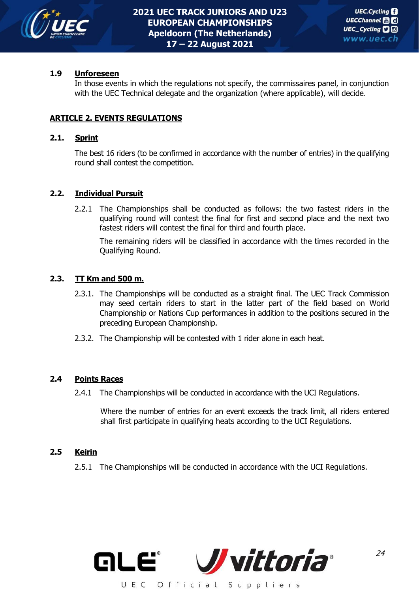

## **1.9 Unforeseen**

In those events in which the regulations not specify, the commissaires panel, in conjunction with the UEC Technical delegate and the organization (where applicable), will decide.

#### **ARTICLE 2. EVENTS REGULATIONS**

#### **2.1. Sprint**

The best 16 riders (to be confirmed in accordance with the number of entries) in the qualifying round shall contest the competition.

#### **2.2. Individual Pursuit**

2.2.1 The Championships shall be conducted as follows: the two fastest riders in the qualifying round will contest the final for first and second place and the next two fastest riders will contest the final for third and fourth place.

The remaining riders will be classified in accordance with the times recorded in the Qualifying Round.

#### **2.3. TT Km and 500 m.**

- 2.3.1. The Championships will be conducted as a straight final. The UEC Track Commission may seed certain riders to start in the latter part of the field based on World Championship or Nations Cup performances in addition to the positions secured in the preceding European Championship.
- 2.3.2. The Championship will be contested with 1 rider alone in each heat.

#### **2.4 Points Races**

2.4.1 The Championships will be conducted in accordance with the UCI Regulations.

Where the number of entries for an event exceeds the track limit, all riders entered shall first participate in qualifying heats according to the UCI Regulations.

#### **2.5 Keirin**

2.5.1 The Championships will be conducted in accordance with the UCI Regulations.

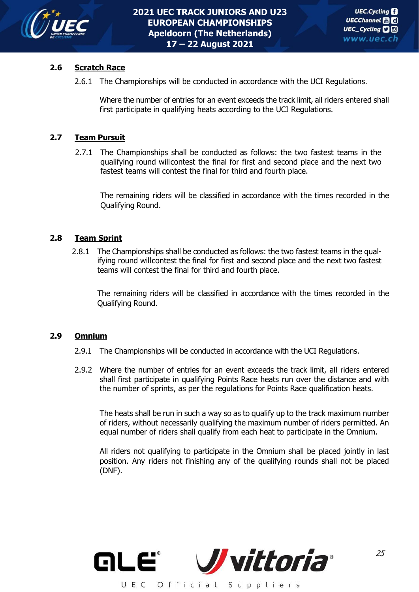

## **2.6 Scratch Race**

2.6.1 The Championships will be conducted in accordance with the UCI Regulations.

Where the number of entries for an event exceeds the track limit, all riders entered shall first participate in qualifying heats according to the UCI Regulations.

#### **2.7 Team Pursuit**

2.7.1 The Championships shall be conducted as follows: the two fastest teams in the qualifying round willcontest the final for first and second place and the next two fastest teams will contest the final for third and fourth place.

The remaining riders will be classified in accordance with the times recorded in the Qualifying Round.

#### **2.8 Team Sprint**

2.8.1 The Championships shall be conducted as follows: the two fastest teams in the qualifying round willcontest the final for first and second place and the next two fastest teams will contest the final for third and fourth place.

The remaining riders will be classified in accordance with the times recorded in the Qualifying Round.

#### **2.9 Omnium**

- 2.9.1 The Championships will be conducted in accordance with the UCI Regulations.
- 2.9.2 Where the number of entries for an event exceeds the track limit, all riders entered shall first participate in qualifying Points Race heats run over the distance and with the number of sprints, as per the regulations for Points Race qualification heats.

The heats shall be run in such a way so as to qualify up to the track maximum number of riders, without necessarily qualifying the maximum number of riders permitted. An equal number of riders shall qualify from each heat to participate in the Omnium.

All riders not qualifying to participate in the Omnium shall be placed jointly in last position. Any riders not finishing any of the qualifying rounds shall not be placed (DNF).

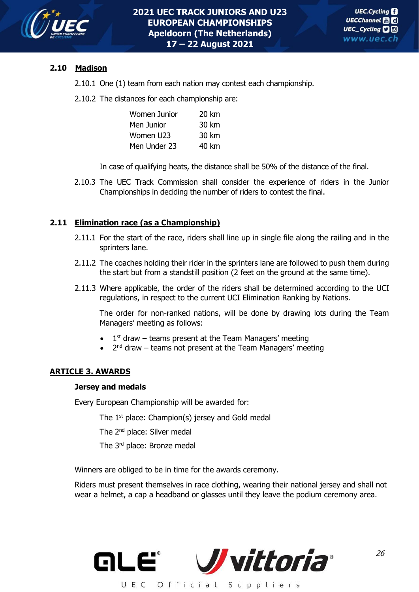

## **2.10 Madison**

2.10.1 One (1) team from each nation may contest each championship.

2.10.2 The distances for each championship are:

| Women Junior | 20 km |
|--------------|-------|
| Men Junior   | 30 km |
| Women U23    | 30 km |
| Men Under 23 | 40 km |

In case of qualifying heats, the distance shall be 50% of the distance of the final.

2.10.3 The UEC Track Commission shall consider the experience of riders in the Junior Championships in deciding the number of riders to contest the final.

## **2.11 Elimination race (as a Championship)**

- 2.11.1 For the start of the race, riders shall line up in single file along the railing and in the sprinters lane.
- 2.11.2 The coaches holding their rider in the sprinters lane are followed to push them during the start but from a standstill position (2 feet on the ground at the same time).
- 2.11.3 Where applicable, the order of the riders shall be determined according to the UCI regulations, in respect to the current UCI Elimination Ranking by Nations.

The order for non-ranked nations, will be done by drawing lots during the Team Managers' meeting as follows:

- $\bullet$  1<sup>st</sup> draw teams present at the Team Managers' meeting
- $\bullet$  2<sup>nd</sup> draw teams not present at the Team Managers' meeting

## **ARTICLE 3. AWARDS**

#### **Jersey and medals**

Every European Championship will be awarded for:

The  $1<sup>st</sup>$  place: Champion(s) jersey and Gold medal

The 2<sup>nd</sup> place: Silver medal

The 3<sup>rd</sup> place: Bronze medal

Winners are obliged to be in time for the awards ceremony.

Riders must present themselves in race clothing, wearing their national jersey and shall not wear a helmet, a cap a headband or glasses until they leave the podium ceremony area.

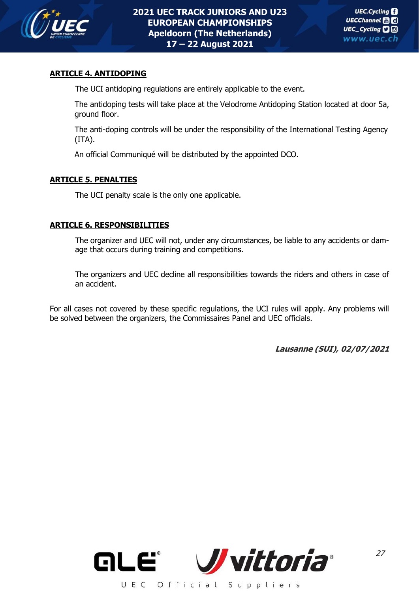

## **ARTICLE 4. ANTIDOPING**

The UCI antidoping regulations are entirely applicable to the event.

The antidoping tests will take place at the Velodrome Antidoping Station located at door 5a, ground floor.

The anti-doping controls will be under the responsibility of the International Testing Agency (ITA).

An official Communiqué will be distributed by the appointed DCO.

## **ARTICLE 5. PENALTIES**

The UCI penalty scale is the only one applicable.

## **ARTICLE 6. RESPONSIBILITIES**

The organizer and UEC will not, under any circumstances, be liable to any accidents or damage that occurs during training and competitions.

The organizers and UEC decline all responsibilities towards the riders and others in case of an accident.

For all cases not covered by these specific regulations, the UCI rules will apply. Any problems will be solved between the organizers, the Commissaires Panel and UEC officials.

**Lausanne (SUI), 02/07/2021**